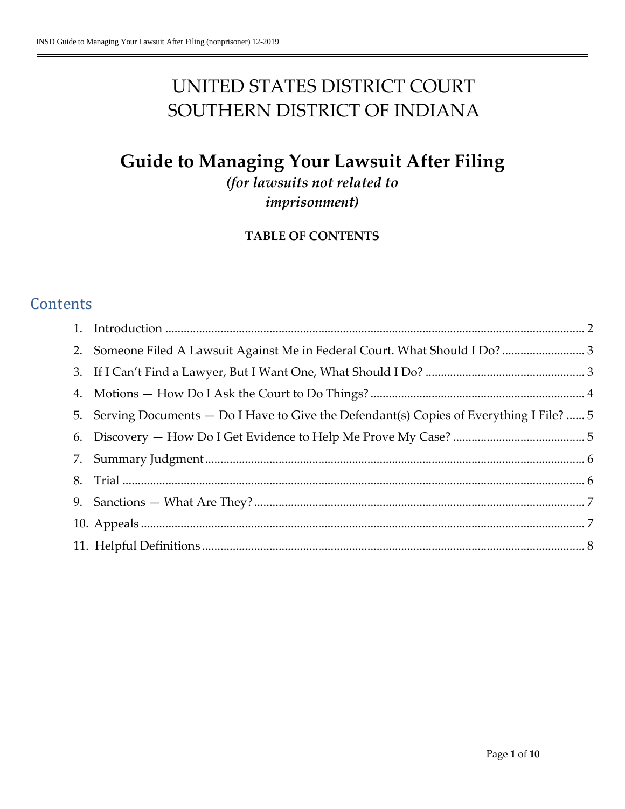# UNITED STATES DISTRICT COURT SOUTHERN DISTRICT OF INDIANA

# **Guide to Managing Your Lawsuit After Filing**

*(for lawsuits not related to imprisonment)*

### **TABLE OF CONTENTS**

# **Contents**

| 2. Someone Filed A Lawsuit Against Me in Federal Court. What Should I Do? 3               |  |
|-------------------------------------------------------------------------------------------|--|
|                                                                                           |  |
|                                                                                           |  |
| 5. Serving Documents — Do I Have to Give the Defendant(s) Copies of Everything I File?  5 |  |
|                                                                                           |  |
|                                                                                           |  |
|                                                                                           |  |
|                                                                                           |  |
|                                                                                           |  |
|                                                                                           |  |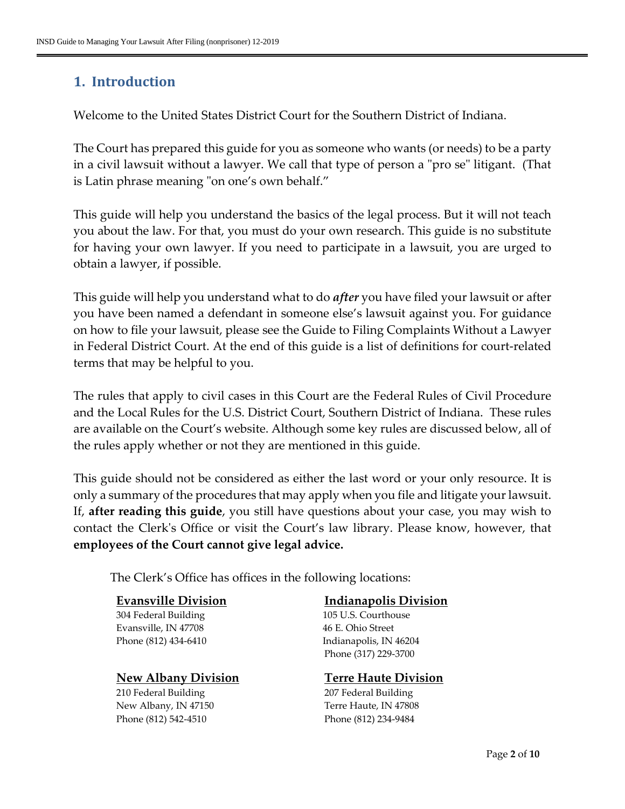# <span id="page-1-0"></span>**1. Introduction**

Welcome to the United States District Court for the Southern District of Indiana.

The Court has prepared this guide for you as someone who wants (or needs) to be a party in a civil lawsuit without a lawyer. We call that type of person a "pro se" litigant. (That is Latin phrase meaning "on one's own behalf."

This guide will help you understand the basics of the legal process. But it will not teach you about the law. For that, you must do your own research. This guide is no substitute for having your own lawyer. If you need to participate in a lawsuit, you are urged to obtain a lawyer, if possible.

This guide will help you understand what to do *after* you have filed your lawsuit or after you have been named a defendant in someone else's lawsuit against you. For guidance on how to file your lawsuit, please see the Guide to Filing Complaints Without a Lawyer in Federal District Court. At the end of this guide is a list of definitions for court-related terms that may be helpful to you.

The rules that apply to civil cases in this Court are the Federal Rules of Civil Procedure and the Local Rules for the U.S. District Court, Southern District of Indiana. These rules are available on the Court's website. Although some key rules are discussed below, all of the rules apply whether or not they are mentioned in this guide.

This guide should not be considered as either the last word or your only resource. It is only a summary of the procedures that may apply when you file and litigate your lawsuit. If, **after reading this guide**, you still have questions about your case, you may wish to contact the Clerk's Office or visit the Court's law library. Please know, however, that **employees of the Court cannot give legal advice.**

The Clerk's Office has offices in the following locations:

#### **Evansville Division**

304 Federal Building Evansville, IN 47708 Phone (812) 434-6410

#### **New Albany Division**

210 Federal Building New Albany, IN 47150 Phone (812) 542-4510

#### **Indianapolis Division**

105 U.S. Courthouse 46 E. Ohio Street Indianapolis, IN 46204 Phone (317) 229-3700

#### **Terre Haute Division**

207 Federal Building Terre Haute, IN 47808 Phone (812) 234-9484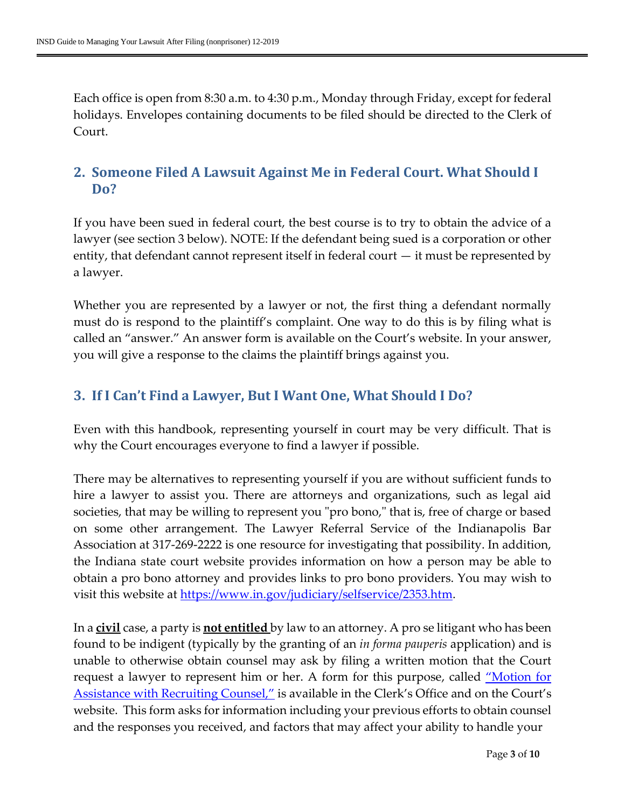Each office is open from 8:30 a.m. to 4:30 p.m., Monday through Friday, except for federal holidays. Envelopes containing documents to be filed should be directed to the Clerk of Court.

## <span id="page-2-0"></span>**2. Someone Filed A Lawsuit Against Me in Federal Court. What Should I Do?**

If you have been sued in federal court, the best course is to try to obtain the advice of a lawyer (see section 3 below). NOTE: If the defendant being sued is a corporation or other entity, that defendant cannot represent itself in federal court — it must be represented by a lawyer.

Whether you are represented by a lawyer or not, the first thing a defendant normally must do is respond to the plaintiff's complaint. One way to do this is by filing what is called an "answer." An answer form is available on the Court's website. In your answer, you will give a response to the claims the plaintiff brings against you.

# <span id="page-2-1"></span>**3. If I Can't Find a Lawyer, But I Want One, What Should I Do?**

Even with this handbook, representing yourself in court may be very difficult. That is why the Court encourages everyone to find a lawyer if possible.

There may be alternatives to representing yourself if you are without sufficient funds to hire a lawyer to assist you. There are attorneys and organizations, such as legal aid societies, that may be willing to represent you "pro bono," that is, free of charge or based on some other arrangement. The Lawyer Referral Service of the Indianapolis Bar Association at 317-269-2222 is one resource for investigating that possibility. In addition, the Indiana state court website provides information on how a person may be able to obtain a pro bono attorney and provides links to pro bono providers. You may wish to visit this website at [https://www.in.gov/judiciary/selfservice/2353.htm.](https://www.in.gov/judiciary/selfservice/2353.htm)

In a **civil** case, a party is **not entitled** by law to an attorney. A pro se litigant who has been found to be indigent (typically by the granting of an *in forma pauperis* application) and is unable to otherwise obtain counsel may ask by filing a written motion that the Court request a lawyer to represent him or her. A form for this purpose, called <u>"Motion for</u> [Assistance with Recruiting Counsel,"](https://www.insd.uscourts.gov/sites/insd/files/forms/F8%20INSD%20motion%20assist%20recruit%20counsel%20civil%20pro%20se.pdf) is available in the Clerk's Office and on the Court's website. This form asks for information including your previous efforts to obtain counsel and the responses you received, and factors that may affect your ability to handle your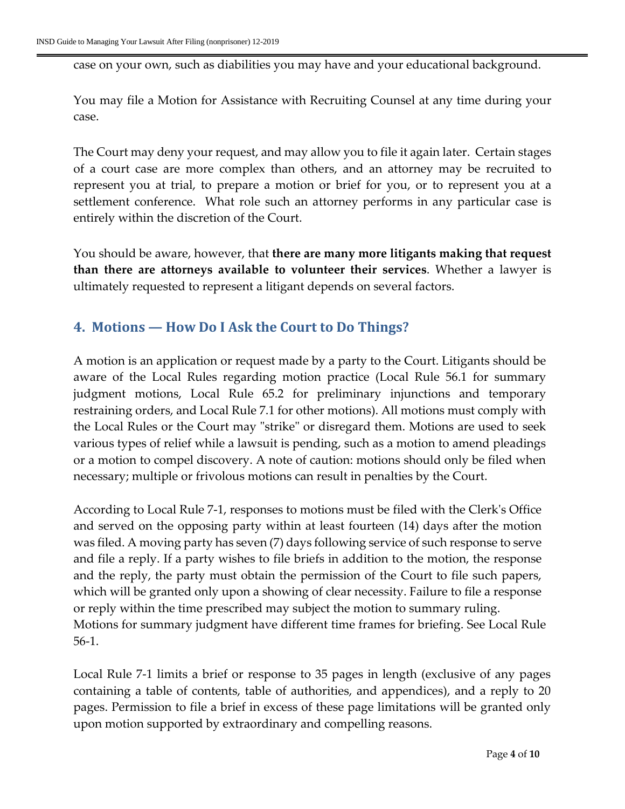case on your own, such as diabilities you may have and your educational background.

You may file a Motion for Assistance with Recruiting Counsel at any time during your case.

The Court may deny your request, and may allow you to file it again later. Certain stages of a court case are more complex than others, and an attorney may be recruited to represent you at trial, to prepare a motion or brief for you, or to represent you at a settlement conference. What role such an attorney performs in any particular case is entirely within the discretion of the Court.

You should be aware, however, that **there are many more litigants making that request than there are attorneys available to volunteer their services**. Whether a lawyer is ultimately requested to represent a litigant depends on several factors.

#### <span id="page-3-0"></span>**4. Motions — How Do I Ask the Court to Do Things?**

A motion is an application or request made by a party to the Court. Litigants should be aware of the Local Rules regarding motion practice (Local Rule 56.1 for summary judgment motions, Local Rule 65.2 for preliminary injunctions and temporary restraining orders, and Local Rule 7.1 for other motions). All motions must comply with the Local Rules or the Court may "strike" or disregard them. Motions are used to seek various types of relief while a lawsuit is pending, such as a motion to amend pleadings or a motion to compel discovery. A note of caution: motions should only be filed when necessary; multiple or frivolous motions can result in penalties by the Court.

According to Local Rule 7-1, responses to motions must be filed with the Clerk's Office and served on the opposing party within at least fourteen (14) days after the motion was filed. A moving party has seven (7) days following service of such response to serve and file a reply. If a party wishes to file briefs in addition to the motion, the response and the reply, the party must obtain the permission of the Court to file such papers, which will be granted only upon a showing of clear necessity. Failure to file a response or reply within the time prescribed may subject the motion to summary ruling. Motions for summary judgment have different time frames for briefing. See Local Rule 56-1.

Local Rule 7-1 limits a brief or response to 35 pages in length (exclusive of any pages containing a table of contents, table of authorities, and appendices), and a reply to 20 pages. Permission to file a brief in excess of these page limitations will be granted only upon motion supported by extraordinary and compelling reasons.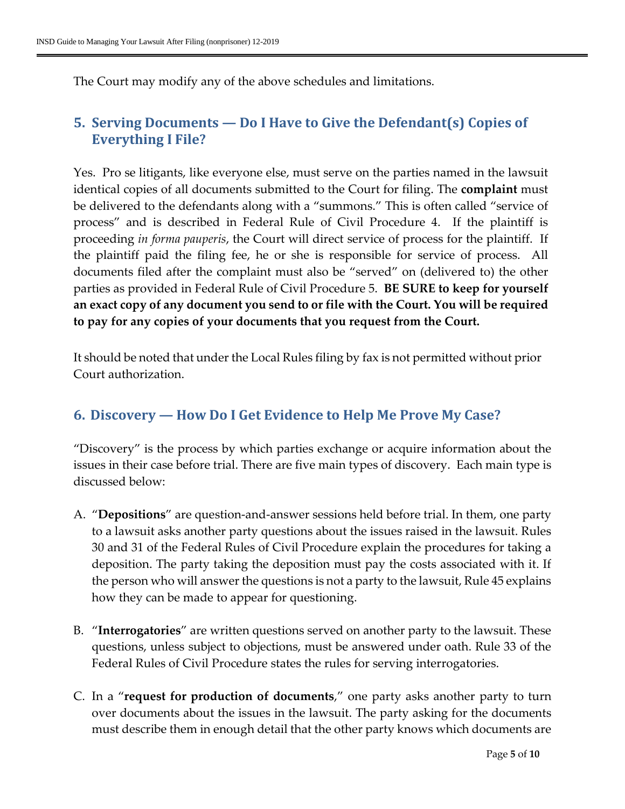The Court may modify any of the above schedules and limitations.

# <span id="page-4-0"></span>**5. Serving Documents — Do I Have to Give the Defendant(s) Copies of Everything I File?**

Yes. Pro se litigants, like everyone else, must serve on the parties named in the lawsuit identical copies of all documents submitted to the Court for filing. The **complaint** must be delivered to the defendants along with a "summons." This is often called "service of process" and is described in Federal Rule of Civil Procedure 4. If the plaintiff is proceeding *in forma pauperis*, the Court will direct service of process for the plaintiff. If the plaintiff paid the filing fee, he or she is responsible for service of process. All documents filed after the complaint must also be "served" on (delivered to) the other parties as provided in Federal Rule of Civil Procedure 5. **BE SURE to keep for yourself an exact copy of any document you send to or file with the Court. You will be required to pay for any copies of your documents that you request from the Court.**

It should be noted that under the Local Rules filing by fax is not permitted without prior Court authorization.

#### <span id="page-4-1"></span>**6. Discovery — How Do I Get Evidence to Help Me Prove My Case?**

"Discovery" is the process by which parties exchange or acquire information about the issues in their case before trial. There are five main types of discovery. Each main type is discussed below:

- A. "**Depositions**" are question-and-answer sessions held before trial. In them, one party to a lawsuit asks another party questions about the issues raised in the lawsuit. Rules 30 and 31 of the Federal Rules of Civil Procedure explain the procedures for taking a deposition. The party taking the deposition must pay the costs associated with it. If the person who will answer the questions is not a party to the lawsuit, Rule 45 explains how they can be made to appear for questioning.
- B. "**Interrogatories**" are written questions served on another party to the lawsuit. These questions, unless subject to objections, must be answered under oath. Rule 33 of the Federal Rules of Civil Procedure states the rules for serving interrogatories.
- C. In a "**request for production of documents**," one party asks another party to turn over documents about the issues in the lawsuit. The party asking for the documents must describe them in enough detail that the other party knows which documents are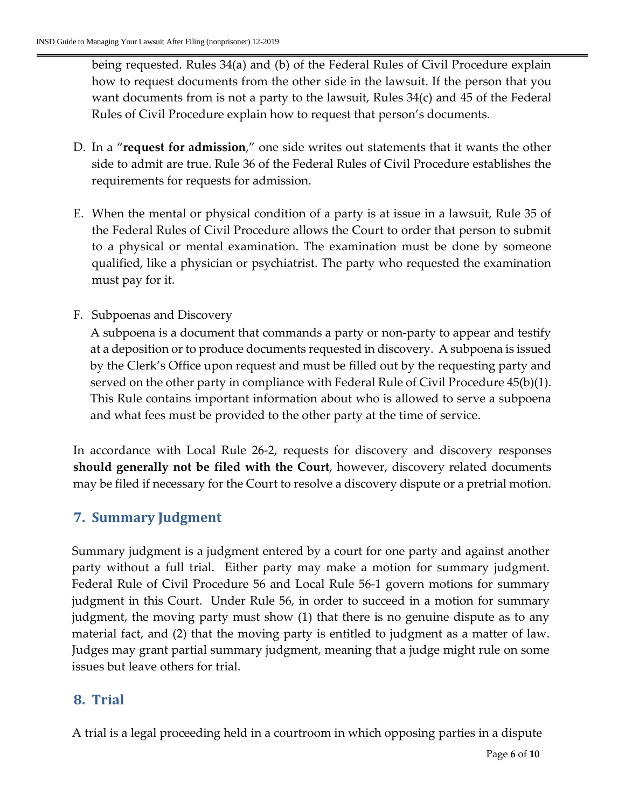being requested. Rules 34(a) and (b) of the Federal Rules of Civil Procedure explain how to request documents from the other side in the lawsuit. If the person that you want documents from is not a party to the lawsuit, Rules 34(c) and 45 of the Federal Rules of Civil Procedure explain how to request that person's documents.

- D. In a "**request for admission**," one side writes out statements that it wants the other side to admit are true. Rule 36 of the Federal Rules of Civil Procedure establishes the requirements for requests for admission.
- E. When the mental or physical condition of a party is at issue in a lawsuit, Rule 35 of the Federal Rules of Civil Procedure allows the Court to order that person to submit to a physical or mental examination. The examination must be done by someone qualified, like a physician or psychiatrist. The party who requested the examination must pay for it.
- F. Subpoenas and Discovery

A subpoena is a document that commands a party or non-party to appear and testify at a deposition or to produce documents requested in discovery. A subpoena is issued by the Clerk's Office upon request and must be filled out by the requesting party and served on the other party in compliance with Federal Rule of Civil Procedure 45(b)(1). This Rule contains important information about who is allowed to serve a subpoena and what fees must be provided to the other party at the time of service.

In accordance with Local Rule 26-2, requests for discovery and discovery responses **should generally not be filed with the Court**, however, discovery related documents may be filed if necessary for the Court to resolve a discovery dispute or a pretrial motion.

### <span id="page-5-0"></span>**7. Summary Judgment**

Summary judgment is a judgment entered by a court for one party and against another party without a full trial. Either party may make a motion for summary judgment. Federal Rule of Civil Procedure 56 and Local Rule 56-1 govern motions for summary judgment in this Court. Under Rule 56, in order to succeed in a motion for summary judgment, the moving party must show (1) that there is no genuine dispute as to any material fact, and (2) that the moving party is entitled to judgment as a matter of law. Judges may grant partial summary judgment, meaning that a judge might rule on some issues but leave others for trial.

### <span id="page-5-1"></span>**8. Trial**

A trial is a legal proceeding held in a courtroom in which opposing parties in a dispute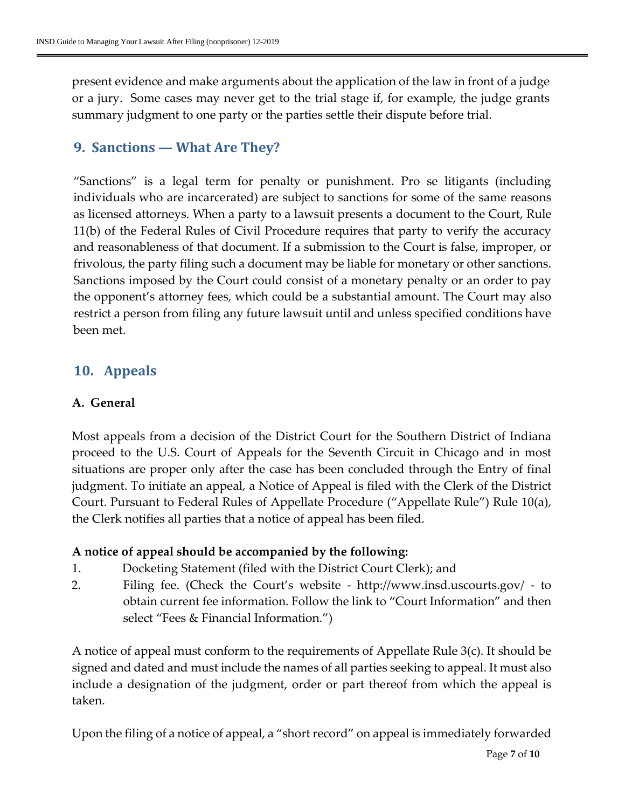present evidence and make arguments about the application of the law in front of a judge or a jury. Some cases may never get to the trial stage if, for example, the judge grants summary judgment to one party or the parties settle their dispute before trial.

## <span id="page-6-0"></span>**9. Sanctions — What Are They?**

"Sanctions" is a legal term for penalty or punishment. Pro se litigants (including individuals who are incarcerated) are subject to sanctions for some of the same reasons as licensed attorneys. When a party to a lawsuit presents a document to the Court, Rule 11(b) of the Federal Rules of Civil Procedure requires that party to verify the accuracy and reasonableness of that document. If a submission to the Court is false, improper, or frivolous, the party filing such a document may be liable for monetary or other sanctions. Sanctions imposed by the Court could consist of a monetary penalty or an order to pay the opponent's attorney fees, which could be a substantial amount. The Court may also restrict a person from filing any future lawsuit until and unless specified conditions have been met.

### <span id="page-6-1"></span>**10. Appeals**

#### **A. General**

Most appeals from a decision of the District Court for the Southern District of Indiana proceed to the U.S. Court of Appeals for the Seventh Circuit in Chicago and in most situations are proper only after the case has been concluded through the Entry of final judgment. To initiate an appeal, a Notice of Appeal is filed with the Clerk of the District Court. Pursuant to Federal Rules of Appellate Procedure ("Appellate Rule") Rule 10(a), the Clerk notifies all parties that a notice of appeal has been filed.

#### **A notice of appeal should be accompanied by the following:**

- 1. Docketing Statement (filed with the District Court Clerk); and
- 2. Filing fee. (Check the Court's website <http://www.insd.uscourts.gov/> to obtain current fee information. Follow the link to "Court Information" and then select "Fees & Financial Information.")

A notice of appeal must conform to the requirements of Appellate Rule 3(c). It should be signed and dated and must include the names of all parties seeking to appeal. It must also include a designation of the judgment, order or part thereof from which the appeal is taken.

Upon the filing of a notice of appeal, a "short record" on appeal is immediately forwarded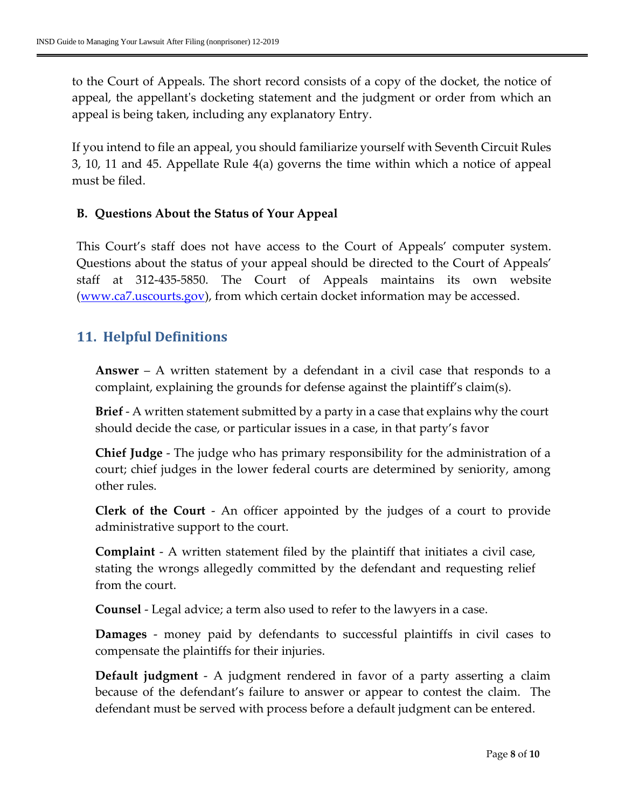to the Court of Appeals. The short record consists of a copy of the docket, the notice of appeal, the appellant's docketing statement and the judgment or order from which an appeal is being taken, including any explanatory Entry.

If you intend to file an appeal, you should familiarize yourself with Seventh Circuit Rules 3, 10, 11 and 45. Appellate Rule 4(a) governs the time within which a notice of appeal must be filed.

#### **B. Questions About the Status of Your Appeal**

This Court's staff does not have access to the Court of Appeals' computer system. Questions about the status of your appeal should be directed to the Court of Appeals' staff at 312-435-5850. The Court of Appeals maintains its own website [\(www.ca7.uscourts.gov\)](http://www.ca7.uscourts.gov/), from which certain docket information may be accessed.

#### <span id="page-7-0"></span>**11. Helpful Definitions**

**Answer** – A written statement by a defendant in a civil case that responds to a complaint, explaining the grounds for defense against the plaintiff's claim(s).

**Brief** - A written statement submitted by a party in a case that explains why the court should decide the case, or particular issues in a case, in that party's favor

**Chief Judge** - The judge who has primary responsibility for the administration of a court; chief judges in the lower federal courts are determined by seniority, among other rules.

**Clerk of the Court** - An officer appointed by the judges of a court to provide administrative support to the court.

**Complaint** - A written statement filed by the plaintiff that initiates a civil case, stating the wrongs allegedly committed by the defendant and requesting relief from the court.

**Counsel** - Legal advice; a term also used to refer to the lawyers in a case.

**Damages** - money paid by defendants to successful plaintiffs in civil cases to compensate the plaintiffs for their injuries.

**Default judgment** - A judgment rendered in favor of a party asserting a claim because of the defendant's failure to answer or appear to contest the claim. The defendant must be served with process before a default judgment can be entered.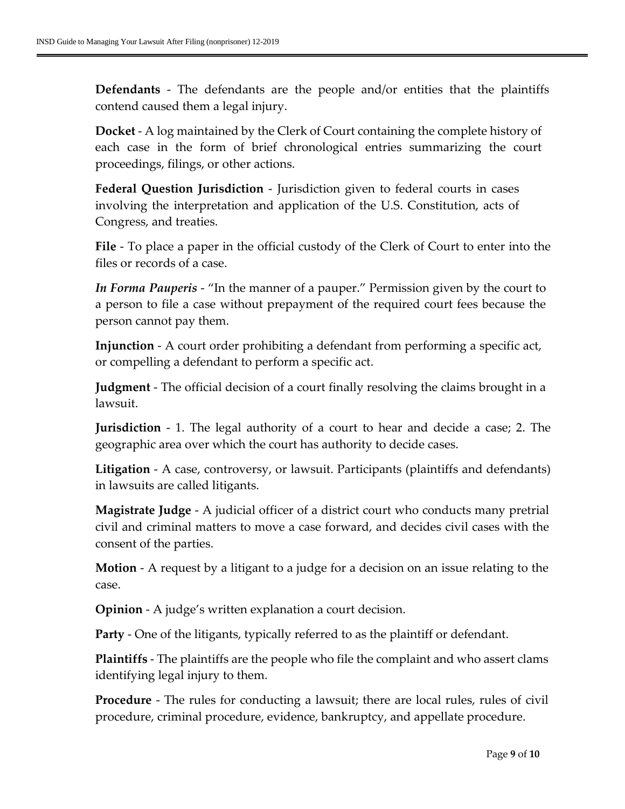**Defendants** - The defendants are the people and/or entities that the plaintiffs contend caused them a legal injury.

**Docket** - A log maintained by the Clerk of Court containing the complete history of each case in the form of brief chronological entries summarizing the court proceedings, filings, or other actions.

**Federal Question Jurisdiction** - Jurisdiction given to federal courts in cases involving the interpretation and application of the U.S. Constitution, acts of Congress, and treaties.

**File** - To place a paper in the official custody of the Clerk of Court to enter into the files or records of a case.

*In Forma Pauperis* - "In the manner of a pauper." Permission given by the court to a person to file a case without prepayment of the required court fees because the person cannot pay them.

**Injunction** - A court order prohibiting a defendant from performing a specific act, or compelling a defendant to perform a specific act.

**Judgment** - The official decision of a court finally resolving the claims brought in a lawsuit.

**Jurisdiction** - 1. The legal authority of a court to hear and decide a case; 2. The geographic area over which the court has authority to decide cases.

**Litigation** - A case, controversy, or lawsuit. Participants (plaintiffs and defendants) in lawsuits are called litigants.

**Magistrate Judge** - A judicial officer of a district court who conducts many pretrial civil and criminal matters to move a case forward, and decides civil cases with the consent of the parties.

**Motion** - A request by a litigant to a judge for a decision on an issue relating to the case.

**Opinion** - A judge's written explanation a court decision.

**Party** - One of the litigants, typically referred to as the plaintiff or defendant.

**Plaintiffs** - The plaintiffs are the people who file the complaint and who assert clams identifying legal injury to them.

**Procedure** - The rules for conducting a lawsuit; there are local rules, rules of civil procedure, criminal procedure, evidence, bankruptcy, and appellate procedure.